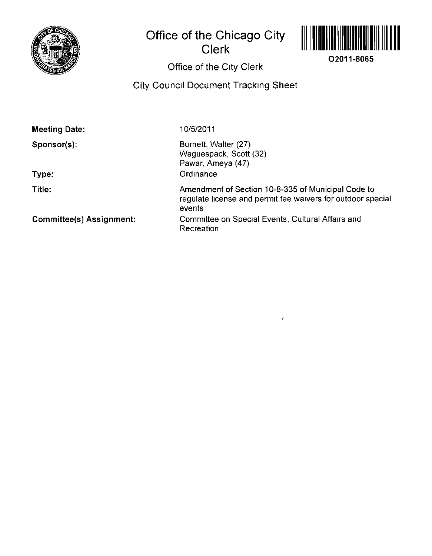

# **Office of the Chicago City Clerk**



**02011-8065** 

# Office of the City Clerk

## City Council Document Tracking Sheet

| <b>Meeting Date:</b>            | 10/5/2011                                                                                                                   |
|---------------------------------|-----------------------------------------------------------------------------------------------------------------------------|
| $Sponsor(s)$ :                  | Burnett, Walter (27)<br>Waguespack, Scott (32)<br>Pawar, Ameya (47)                                                         |
| Type:                           | Ordinance                                                                                                                   |
| Title:                          | Amendment of Section 10-8-335 of Municipal Code to<br>regulate license and permit fee waivers for outdoor special<br>events |
| <b>Committee(s) Assignment:</b> | Committee on Special Events, Cultural Affairs and<br>Recreation                                                             |

 $\bar{I}$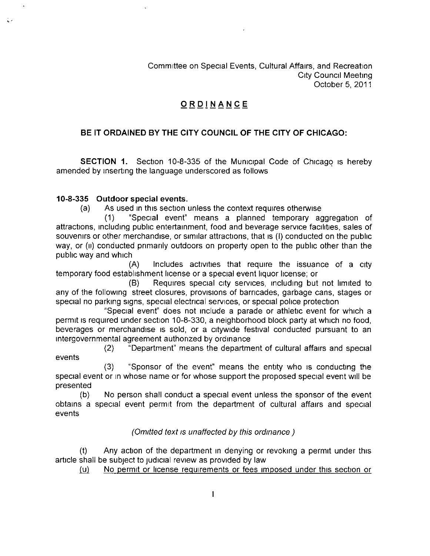Committee on Special Events, Cultural Affairs, and Recreation City Council Meeting October 5, 2011

## **ORDINANC E**

## **BE IT ORDAINED BY THE CITY COUNCIL OF THE CITY OF CHICAGO:**

SECTION 1. Section 10-8-335 of the Municipal Code of Chicago is hereby amended by inserting the language underscored as follows

### **10-8-335 Outdoor special events.**

L.

(a) As used in this section unless the context requires otherwise

(1) "Special event" means a planned temporary aggregation of attractions, including public entertainment, food and beverage service facilities, sales of souvenirs or other merchandise, or similar attractions, that is (I) conducted on the public way, or (ii) conducted pnmanly outdoors on property open to the public other than the public way and which

(A) Includes activities that require the issuance of a city temporary food establishment license or a special event liquor license; or

(B) Requires special city services, including but not limited to any of the following street closures, provisions of barricades, garbage cans, stages or special no parking signs, special electncal services, or special police protection

"Special event" does not include a parade or athletic event for which a permit is required under section 10-8-330, a neighborhood block party at which no food, beverages or merchandise is sold, or a citywide festival conducted pursuant to an intergovernmental agreement authonzed by ordinance

(2) "Department" means the department of cultural affairs and special events

(3) "Sponsor of the event" means the entity who is conducting the special event or in whose name or for whose support the proposed special event will be presented

(b) No person shall conduct a special event unless the sponsor of the event obtains a special event permit from the department of cultural affairs and special events

### (Omitted text is unaffected by this ordinance )

(t) Any action of the department in denying or revoking a permit under this article shall be subject to judicial review as provided by law

(u) No permit or license requirements or fees imposed under this section or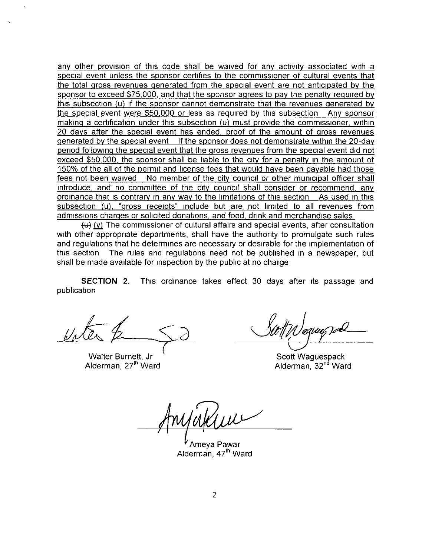any other provision of this code shall be waived for anv activity associated with a special event unless the sponsor certifies to the commissioner of cultural events that the total gross revenues generated from the special event are not anticipated by the sponsor to exceed \$75,000, and that the sponsor agrees to pay the penalty required bv this subsection (u) if the sponsor cannot demonstrate that the revenues generated bv the special event were \$50.000 or less as required by this subsection Any sponsor making a certification under this subsection (u) must provide the commissioner, within 20 days after the special event has ended, proof of the amount of gross revenues generated by the special event If the sponsor does not demonstrate within the 20-day penod following the special event that the gross revenues from the special event did not exceed \$50,000. the sponsor shall be liable to the city for a penalty in the amount of 150% of the all of the permit and license fees that would have been payable had those fees not been waived No member of the city council or other municipal officer shall introduce, and no committee of the city council shall consider or recommend, any ordinance that is contrary in any way to the limitations of this section As used in this subsection (u), "gross receipts" include but are not limited to all revenues from admissions charges or solicited donations, and food, drink and merchandise sales

 $(u)$  (v) The commissioner of cultural affairs and special events, after consultation with other appropnate departments, shall have the authority to promulgate such rules and regulations that he determines are necessary or desirable for the implementation of this section The rules and regulations need not be published in a newspaper, but shall be made available for inspection by the public at no charge

SECTION 2. This ordinance takes effect 30 days after its passage and publication

Walter Burnett, Jr  $\hbox{N}$  Scott Waguespack<br>Alderman, 27<sup>th</sup> Ward Alderman, 32<sup>nd</sup> War

Alderman, 32<sup>nd</sup> Ward

Ameya Pawar Alderman, 47<sup>th</sup> Ward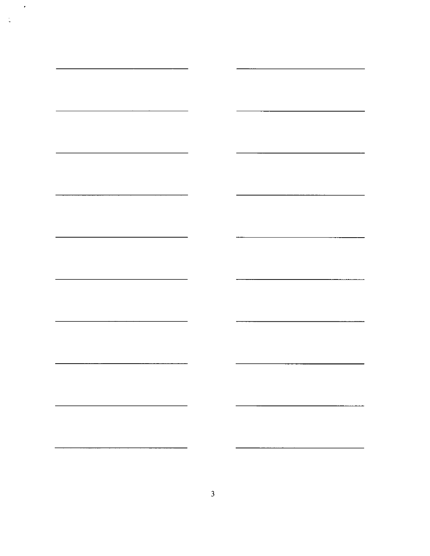<u>. . . . . . . . . . . . . . .</u>  $\overline{\phantom{0}}$  $\overline{\phantom{0}}$ ——————————

Ì.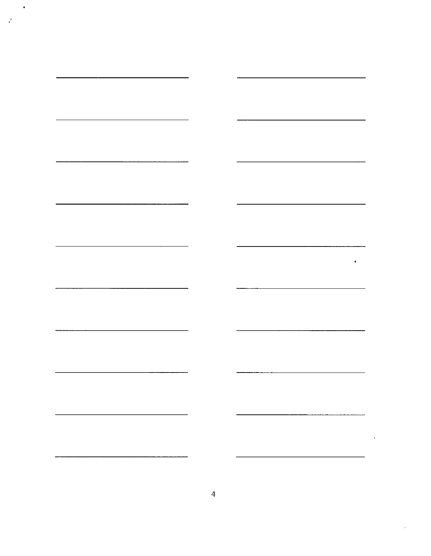$\bullet$  .  $\overline{\phantom{a}}$  $\overline{\phantom{a}}$  $\overline{\phantom{a}}$  $\sim$   $\epsilon$ 

 $\mathcal{I}$